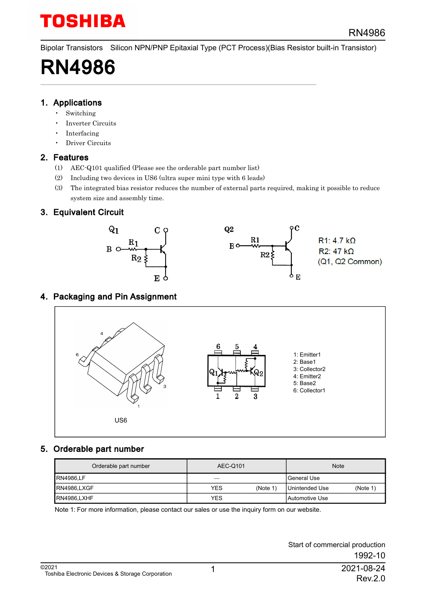Bipolar Transistors Silicon NPN/PNP Epitaxial Type (PCT Process)(Bias Resistor built-in Transistor)

# RN4986

#### 1. Applications

- **Switching**
- Inverter Circuits
- Interfacing
- Driver Circuits

### 2. Features

- (1) AEC-Q101 qualified (Please see the orderable part number list)
- (2) Including two devices in US6 (ultra super mini type with 6 leads)
- (3) The integrated bias resistor reduces the number of external parts required, making it possible to reduce system size and assembly time.

### 3. Equivalent Circuit



### 4. Packaging and Pin Assignment



### 5. Orderable part number

| Orderable part number | AEC-Q101    |         | <b>Note</b>           |          |  |
|-----------------------|-------------|---------|-----------------------|----------|--|
| <b>RN4986.LF</b>      | General Use |         |                       |          |  |
| RN4986.LXGF           | <b>YES</b>  | (Note 1 | Unintended Use        | (Note 1) |  |
| RN4986.LXHF           | <b>YES</b>  |         | <b>Automotive Use</b> |          |  |

Note 1: For more information, please contact our sales or use the inquiry form on our website.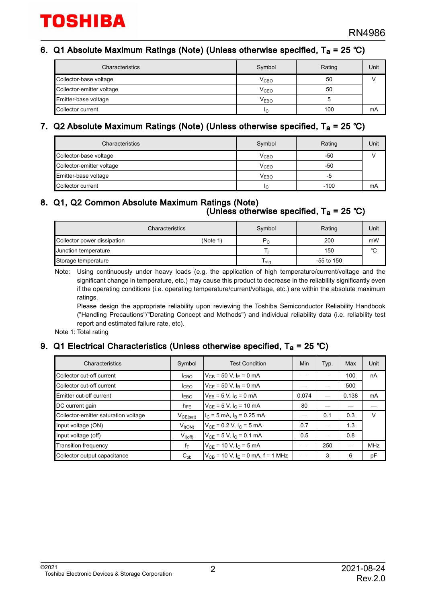#### 6. Q1 Absolute Maximum Ratings (Note) (Unless otherwise specified, T<sub>a</sub> = 25 °C)

| Characteristics           | Symbol           | Rating | Unit |
|---------------------------|------------------|--------|------|
| Collector-base voltage    | V <sub>CBO</sub> | 50     |      |
| Collector-emitter voltage | V <sub>CEO</sub> | 50     |      |
| Emitter-base voltage      | $V_{EBO}$        |        |      |
| Collector current         | IC.              | 100    | mA   |

### 7. Q2 Absolute Maximum Ratings (Note) (Unless otherwise specified, T<sub>a</sub> = 25 °C)

| Characteristics           | Symbol           | Rating | Unit |
|---------------------------|------------------|--------|------|
| Collector-base voltage    | V <sub>CBO</sub> | -50    |      |
| Collector-emitter voltage | V <sub>CEO</sub> | -50    |      |
| Emitter-base voltage      | $V_{EBO}$        | -5     |      |
| Collector current         | ΙC               | $-100$ | mA   |

#### 8. Q1, Q2 Common Absolute Maximum Ratings (Note)  $($ Unless otherwise specified, T $_{\rm a}$  = 25 °C)

| Characteristics             | Symbol   | Rating  | Unit         |    |
|-----------------------------|----------|---------|--------------|----|
| Collector power dissipation | (Note 1) | $P_{C}$ | 200          | mW |
| Junction temperature        |          |         | 150          | °C |
| Storage temperature         |          | sta     | $-55$ to 150 |    |

Note: Using continuously under heavy loads (e.g. the application of high temperature/current/voltage and the significant change in temperature, etc.) may cause this product to decrease in the reliability significantly even if the operating conditions (i.e. operating temperature/current/voltage, etc.) are within the absolute maximum ratings.

Please design the appropriate reliability upon reviewing the Toshiba Semiconductor Reliability Handbook ("Handling Precautions"/"Derating Concept and Methods") and individual reliability data (i.e. reliability test report and estimated failure rate, etc).

Note 1: Total rating

#### 9. Q1 Electrical Characteristics (Unless otherwise specified, T<sub>a</sub> = 25 °C)

| Characteristics                      | Symbol           | <b>Test Condition</b>                    | Min   | Typ. | Max   | Unit       |
|--------------------------------------|------------------|------------------------------------------|-------|------|-------|------------|
| Collector cut-off current            | I <sub>CBO</sub> | $V_{CB}$ = 50 V, $I_F$ = 0 mA            |       |      | 100   | nA         |
| Collector cut-off current            | I <sub>CEO</sub> | $V_{CF}$ = 50 V, $I_B$ = 0 mA            |       | –    | 500   |            |
| Emitter cut-off current              | <b>EBO</b>       | $V_{FB} = 5 V, I_C = 0 mA$               | 0.074 |      | 0.138 | mA         |
| DC current gain                      | $h_{FE}$         | $V_{CF}$ = 5 V, I <sub>C</sub> = 10 mA   | 80    |      |       |            |
| Collector-emitter saturation voltage | $V_{CE(sat)}$    | $I_C = 5$ mA, $I_B = 0.25$ mA            |       | 0.1  | 0.3   | V          |
| Input voltage (ON)                   | $V_{I(ON)}$      | $V_{CF}$ = 0.2 V, $I_C$ = 5 mA           | 0.7   |      | 1.3   |            |
| Input voltage (off)                  | $V_{I(off)}$     | $V_{CF}$ = 5 V, $I_C$ = 0.1 mA           | 0.5   |      | 0.8   |            |
| <b>Transition frequency</b>          | $f_T$            | $V_{CF}$ = 10 V, $I_C$ = 5 mA            |       | 250  |       | <b>MHz</b> |
| Collector output capacitance         | $C_{ob}$         | $V_{CB}$ = 10 V, $I_F$ = 0 mA, f = 1 MHz |       | 3    | 6     | pF         |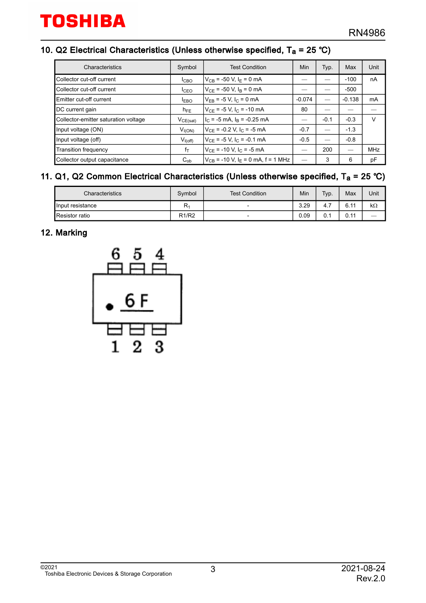#### 10. Q2 Electrical Characteristics (Unless otherwise specified,  $T_a$  = 25 °C)

| Characteristics                      | Symbol           | <b>Test Condition</b>                      | Min      | Typ.                     | Max      | Unit       |
|--------------------------------------|------------------|--------------------------------------------|----------|--------------------------|----------|------------|
| Collector cut-off current            | I <sub>CBO</sub> | $V_{CB}$ = -50 V, $I_F$ = 0 mA             |          |                          | $-100$   | nA         |
| Collector cut-off current            | I <sub>CEO</sub> | $V_{CF}$ = -50 V, $I_B$ = 0 mA             |          |                          | $-500$   |            |
| Emitter cut-off current              | <b>EBO</b>       | $V_{FB}$ = -5 V, $I_C$ = 0 mA              | $-0.074$ |                          | $-0.138$ | mA         |
| DC current gain                      | $h_{FE}$         | $V_{CF}$ = -5 V, I <sub>C</sub> = -10 mA   | 80       |                          |          |            |
| Collector-emitter saturation voltage | $V_{CE(sat)}$    | $IC$ = -5 mA, $IB$ = -0.25 mA              |          | $-0.1$                   | $-0.3$   | V          |
| Input voltage (ON)                   | $V_{I(ON)}$      | $V_{CF}$ = -0.2 V, $I_C$ = -5 mA           | $-0.7$   |                          | $-1.3$   |            |
| Input voltage (off)                  | $V_{I(off)}$     | $V_{CF}$ = -5 V, I <sub>C</sub> = -0.1 mA  | $-0.5$   | $\overline{\phantom{0}}$ | $-0.8$   |            |
| <b>Transition frequency</b>          | $f_T$            | $V_{CF}$ = -10 V, I <sub>C</sub> = -5 mA   |          | 200                      |          | <b>MHz</b> |
| Collector output capacitance         | $C_{ob}$         | $ V_{CB}$ = -10 V, $ _F$ = 0 mA, f = 1 MHz |          | 3                        | 6        | pF         |

#### 11. Q1, Q2 Common Electrical Characteristics (Unless otherwise specified,  $T_a = 25$  °C)

| Characteristics       | Symbol                         | <b>Test Condition</b>    | Min  | Typ. | Max                 | Unit      |
|-----------------------|--------------------------------|--------------------------|------|------|---------------------|-----------|
| Input resistance      | $R_1$                          | $\overline{\phantom{0}}$ | 3.29 | 4.7  | 6.11                | $k\Omega$ |
| <b>Resistor ratio</b> | R <sub>1</sub> /R <sub>2</sub> | -                        | 0.09 | 0.1  | 0.11<br><b>U.II</b> |           |

### 12. Marking

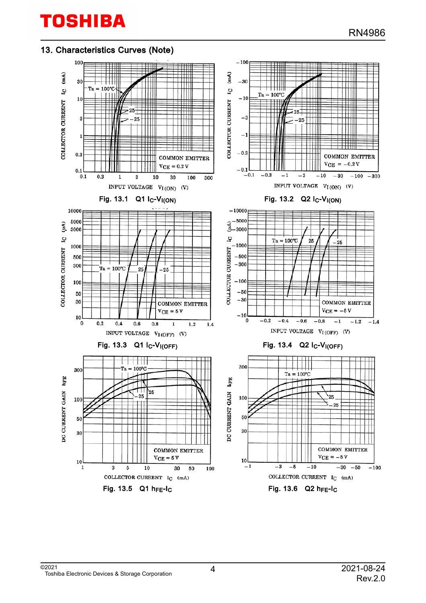#### 13. Characteristics Curves (Note)

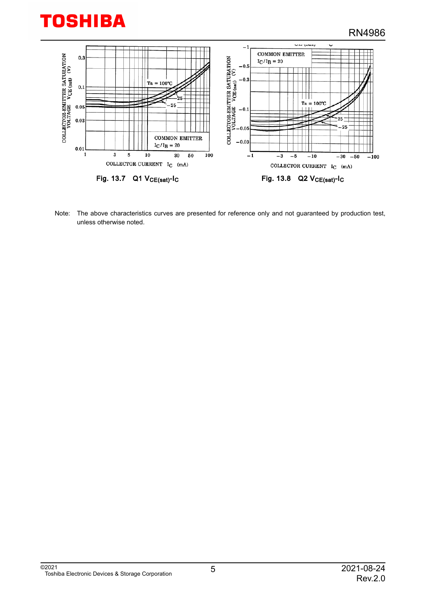



Note: The above characteristics curves are presented for reference only and not guaranteed by production test, unless otherwise noted.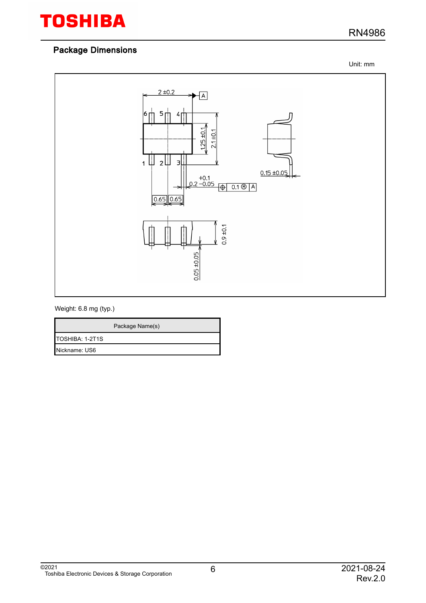### RN4986

Unit: mm



#### Weight: 6.8 mg (typ.)

|                 | Package Name(s) |
|-----------------|-----------------|
| TOSHIBA: 1-2T1S |                 |
| Nickname: US6   |                 |